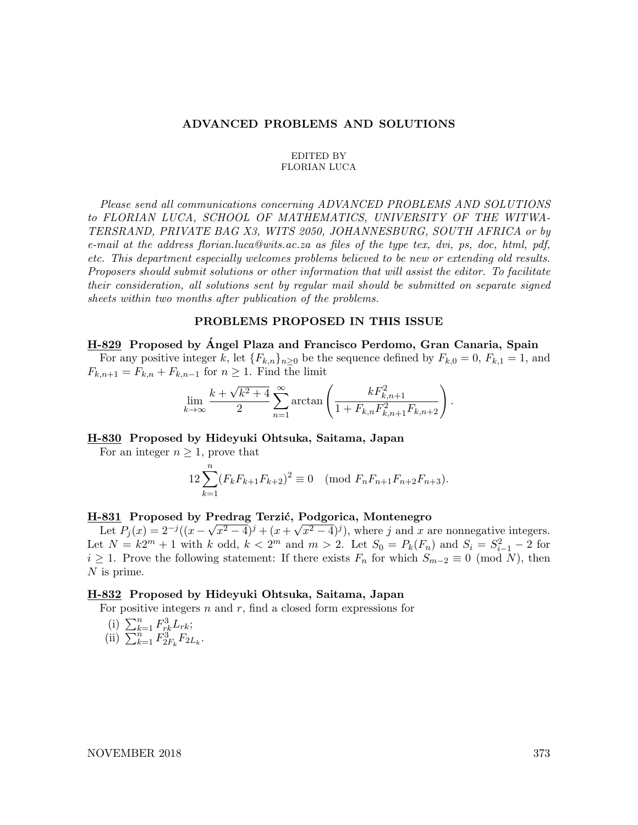#### ADVANCED PROBLEMS AND SOLUTIONS

#### EDITED BY FLORIAN LUCA

Please send all communications concerning ADVANCED PROBLEMS AND SOLUTIONS to FLORIAN LUCA, SCHOOL OF MATHEMATICS, UNIVERSITY OF THE WITWA-TERSRAND, PRIVATE BAG X3, WITS 2050, JOHANNESBURG, SOUTH AFRICA or by e-mail at the address florian.luca@wits.ac.za as files of the type tex, dvi, ps, doc, html, pdf, etc. This department especially welcomes problems believed to be new or extending old results. Proposers should submit solutions or other information that will assist the editor. To facilitate their consideration, all solutions sent by regular mail should be submitted on separate signed sheets within two months after publication of the problems.

#### PROBLEMS PROPOSED IN THIS ISSUE

H-829 Proposed by Ángel Plaza and Francisco Perdomo, Gran Canaria, Spain For any positive integer k, let  ${F_{k,n}}_{n\geq0}$  be the sequence defined by  $F_{k,0} = 0$ ,  $F_{k,1} = 1$ , and  $F_{k,n+1} = F_{k,n} + F_{k,n-1}$  for  $n \geq 1$ . Find the limit

$$
\lim_{k \to \infty} \frac{k + \sqrt{k^2 + 4}}{2} \sum_{n=1}^{\infty} \arctan\left(\frac{kF_{k,n+1}^2}{1 + F_{k,n}F_{k,n+1}^2 F_{k,n+2}}\right).
$$

### H-830 Proposed by Hideyuki Ohtsuka, Saitama, Japan

For an integer  $n \geq 1$ , prove that

$$
12\sum_{k=1}^{n} (F_k F_{k+1} F_{k+2})^2 \equiv 0 \pmod{F_n F_{n+1} F_{n+2} F_{n+3}}.
$$

# H-831 Proposed by Predrag Terzić, Podgorica, Montenegro

Let  $P_j(x) = 2^{-j}((x - \sqrt{x^2 - 4})^j + (x + \sqrt{x^2 - 4})^j)$ , where j and x are nonnegative integers. Let  $N = k2^m + 1$  with k odd,  $k < 2^m$  and  $m > 2$ . Let  $S_0 = P_k(F_n)$  and  $S_i = S_{i-1}^2 - 2$  for  $i \geq 1$ . Prove the following statement: If there exists  $F_n$  for which  $S_{m-2} \equiv 0 \pmod{N}$ , then N is prime.

### H-832 Proposed by Hideyuki Ohtsuka, Saitama, Japan

For positive integers  $n$  and  $r$ , find a closed form expressions for

(i) 
$$
\sum_{k=1}^{n} F_{rk}^3 L_{rk}
$$
;  
(ii)  $\sum_{k=1}^{n} F_{2F_k}^3 F_{2L_k}$ .

NOVEMBER 2018 373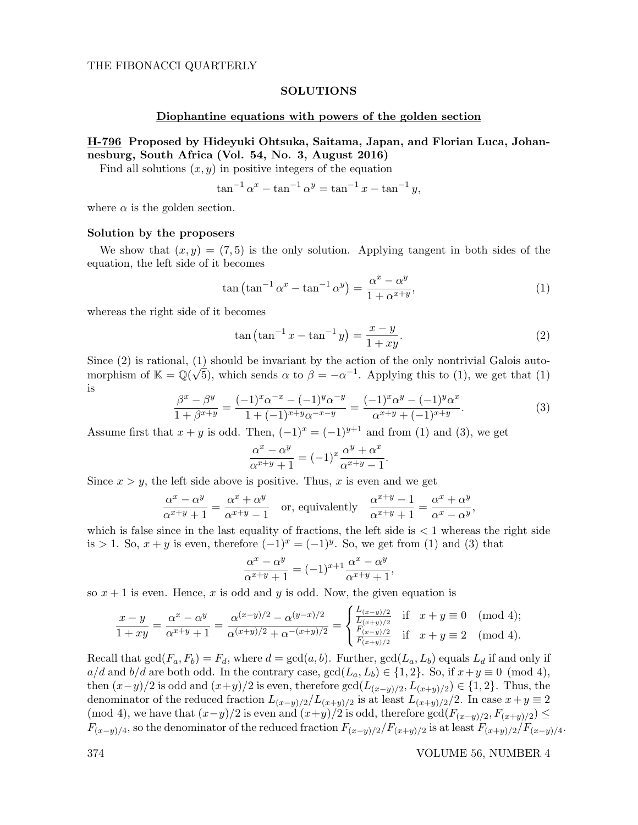### SOLUTIONS

#### Diophantine equations with powers of the golden section

# H-796 Proposed by Hideyuki Ohtsuka, Saitama, Japan, and Florian Luca, Johannesburg, South Africa (Vol. 54, No. 3, August 2016)

Find all solutions  $(x, y)$  in positive integers of the equation

$$
\tan^{-1} \alpha^x - \tan^{-1} \alpha^y = \tan^{-1} x - \tan^{-1} y,
$$

where  $\alpha$  is the golden section.

#### Solution by the proposers

We show that  $(x, y) = (7, 5)$  is the only solution. Applying tangent in both sides of the equation, the left side of it becomes

$$
\tan\left(\tan^{-1}\alpha^x - \tan^{-1}\alpha^y\right) = \frac{\alpha^x - \alpha^y}{1 + \alpha^{x+y}},\tag{1}
$$

whereas the right side of it becomes

$$
\tan\left(\tan^{-1}x - \tan^{-1}y\right) = \frac{x-y}{1+xy}.\tag{2}
$$

Since  $(2)$  is rational,  $(1)$  should be invariant by the action of the only nontrivial Galois automorphism of  $\mathbb{K} = \mathbb{Q}(\sqrt{5})$ , which sends  $\alpha$  to  $\beta = -\alpha^{-1}$ . Applying this to (1), we get that (1) is

$$
\frac{\beta^x - \beta^y}{1 + \beta^{x+y}} = \frac{(-1)^x \alpha^{-x} - (-1)^y \alpha^{-y}}{1 + (-1)^{x+y} \alpha^{-x-y}} = \frac{(-1)^x \alpha^y - (-1)^y \alpha^x}{\alpha^{x+y} + (-1)^{x+y}}.
$$
\n(3)

Assume first that  $x + y$  is odd. Then,  $(-1)^x = (-1)^{y+1}$  and from (1) and (3), we get

$$
\frac{\alpha^x - \alpha^y}{\alpha^{x+y} + 1} = (-1)^x \frac{\alpha^y + \alpha^x}{\alpha^{x+y} - 1}.
$$

Since  $x > y$ , the left side above is positive. Thus, x is even and we get

$$
\frac{\alpha^x - \alpha^y}{\alpha^{x+y} + 1} = \frac{\alpha^x + \alpha^y}{\alpha^{x+y} - 1}
$$
 or, equivalently 
$$
\frac{\alpha^{x+y} - 1}{\alpha^{x+y} + 1} = \frac{\alpha^x + \alpha^y}{\alpha^x - \alpha^y},
$$

which is false since in the last equality of fractions, the left side is  $\lt 1$  whereas the right side is > 1. So,  $x + y$  is even, therefore  $(-1)^x = (-1)^y$ . So, we get from (1) and (3) that

$$
\frac{\alpha^x - \alpha^y}{\alpha^{x+y} + 1} = (-1)^{x+1} \frac{\alpha^x - \alpha^y}{\alpha^{x+y} + 1},
$$

so  $x + 1$  is even. Hence, x is odd and y is odd. Now, the given equation is

$$
\frac{x-y}{1+xy} = \frac{\alpha^x - \alpha^y}{\alpha^{x+y} + 1} = \frac{\alpha^{(x-y)/2} - \alpha^{(y-x)/2}}{\alpha^{(x+y)/2} + \alpha^{-(x+y)/2}} = \begin{cases} \frac{L_{(x-y)/2}}{L_{(x+y)/2}} & \text{if } x+y \equiv 0 \pmod{4};\\ \frac{F_{(x-y)/2}}{F_{(x+y)/2}} & \text{if } x+y \equiv 2 \pmod{4}. \end{cases}
$$

Recall that  $gcd(F_a, F_b) = F_d$ , where  $d = gcd(a, b)$ . Further,  $gcd(L_a, L_b)$  equals  $L_d$  if and only if  $a/d$  and  $b/d$  are both odd. In the contrary case,  $gcd(L_a, L_b) \in \{1, 2\}$ . So, if  $x+y \equiv 0 \pmod{4}$ , then  $(x-y)/2$  is odd and  $(x+y)/2$  is even, therefore  $gcd(L_{(x-y)/2}, L_{(x+y)/2}) \in \{1,2\}$ . Thus, the denominator of the reduced fraction  $L_{(x-y)/2}/L_{(x+y)/2}$  is at least  $L_{(x+y)/2}/2$ . In case  $x+y\equiv 2$ (mod 4), we have that  $(x-y)/2$  is even and  $(x+y)/2$  is odd, therefore  $gcd(F_{(x-y)/2}, F_{(x+y)/2}) \le$  $F_{(x-y)/4}$ , so the denominator of the reduced fraction  $F_{(x-y)/2}/F_{(x+y)/2}$  is at least  $F_{(x+y)/2}/F_{(x-y)/4}$ .

374 VOLUME 56, NUMBER 4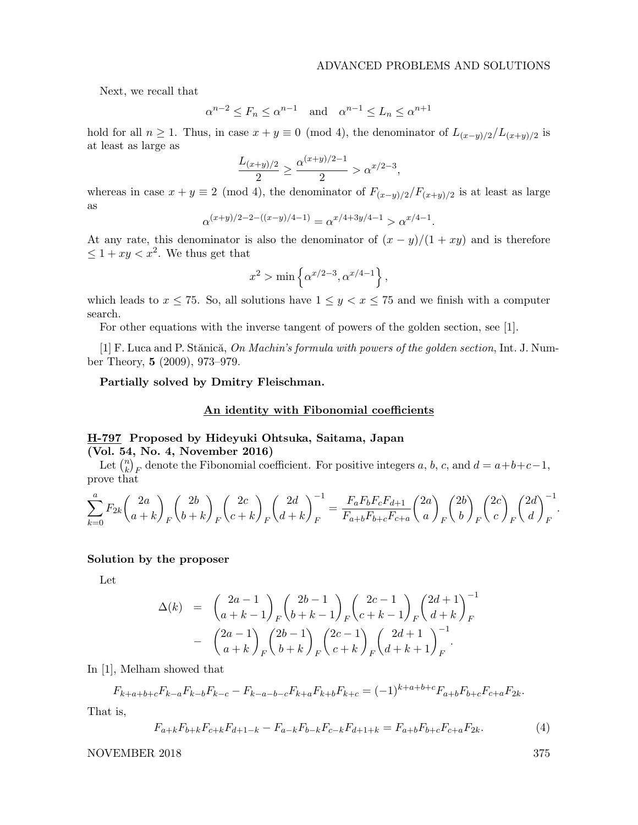.

Next, we recall that

$$
\alpha^{n-2} \le F_n \le \alpha^{n-1} \quad \text{and} \quad \alpha^{n-1} \le L_n \le \alpha^{n+1}
$$

hold for all  $n \ge 1$ . Thus, in case  $x + y \equiv 0 \pmod{4}$ , the denominator of  $L_{(x-y)/2}/L_{(x+y)/2}$  is at least as large as

$$
\frac{L_{(x+y)/2}}{2} \ge \frac{\alpha^{(x+y)/2 - 1}}{2} > \alpha^{x/2 - 3},
$$

whereas in case  $x + y \equiv 2 \pmod{4}$ , the denominator of  $F_{(x-y)/2}/F_{(x+y)/2}$  is at least as large as

$$
\alpha^{(x+y)/2-2-((x-y)/4-1)}=\alpha^{x/4+3y/4-1}>\alpha^{x/4-1}
$$

At any rate, this denominator is also the denominator of  $(x - y)/(1 + xy)$  and is therefore  $\leq 1 + xy < x^2$ . We thus get that

$$
x^2 > \min\left\{\alpha^{x/2-3}, \alpha^{x/4-1}\right\},\,
$$

which leads to  $x \le 75$ . So, all solutions have  $1 \le y \le x \le 75$  and we finish with a computer search.

For other equations with the inverse tangent of powers of the golden section, see [1].

[1] F. Luca and P. Stănică, On Machin's formula with powers of the golden section, Int. J. Number Theory, 5 (2009), 973–979.

#### Partially solved by Dmitry Fleischman.

### An identity with Fibonomial coefficients

# H-797 Proposed by Hideyuki Ohtsuka, Saitama, Japan (Vol. 54, No. 4, November 2016)

Let  $\binom{n}{k}$  ${k \choose k}_F$  denote the Fibonomial coefficient. For positive integers a, b, c, and  $d = a+b+c-1$ , prove that

$$
\sum_{k=0}^{a} F_{2k} {2a \choose a+k}_F {2b \choose b+k}_F {2c \choose c+k}_F {2d \choose d+k}_F^{-1} = \frac{F_a F_b F_c F_{d+1}}{F_{a+b} F_{b+c} F_{c+a}} {2a \choose a}_F {2b \choose b}_F {2c \choose c}_F {2d \choose d}_F^{-1}.
$$

#### Solution by the proposer

Let

$$
\Delta(k) = \begin{pmatrix} 2a - 1 \\ a + k - 1 \end{pmatrix} F \begin{pmatrix} 2b - 1 \\ b + k - 1 \end{pmatrix} F \begin{pmatrix} 2c - 1 \\ c + k - 1 \end{pmatrix} F \begin{pmatrix} 2d + 1 \\ d + k \end{pmatrix}^{-1} - \begin{pmatrix} 2a - 1 \\ a + k \end{pmatrix} F \begin{pmatrix} 2b - 1 \\ b + k \end{pmatrix} F \begin{pmatrix} 2c - 1 \\ c + k \end{pmatrix} F \begin{pmatrix} 2d + 1 \\ d + k + 1 \end{pmatrix}^{-1} F.
$$

In [1], Melham showed that

$$
F_{k+a+b+c}F_{k-a}F_{k-b}F_{k-c} - F_{k-a-b-c}F_{k+a}F_{k+b}F_{k+c} = (-1)^{k+a+b+c}F_{a+b}F_{b+c}F_{c+a}F_{2k}.
$$

That is,

$$
F_{a+k}F_{b+k}F_{c+k}F_{d+1-k} - F_{a-k}F_{b-k}F_{c-k}F_{d+1+k} = F_{a+b}F_{b+c}F_{c+a}F_{2k}.\tag{4}
$$

NOVEMBER 2018 375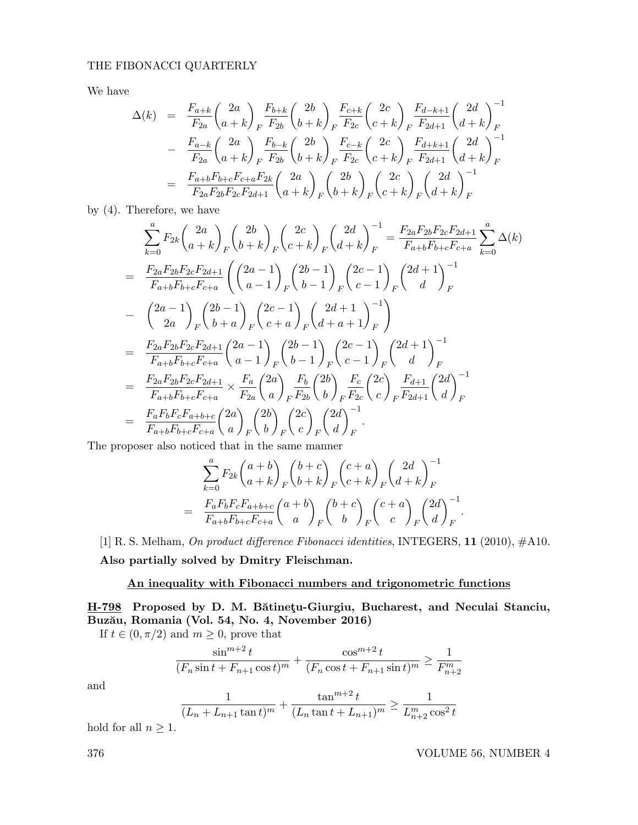# THE FIBONACCI QUARTERLY

We have

$$
\Delta(k) = \frac{F_{a+k}}{F_{2a}} \left(\frac{2a}{a+k}\right)_{F} \frac{F_{b+k}}{F_{2b}} \left(\frac{2b}{b+k}\right)_{F} \frac{F_{c+k}}{F_{2c}} \left(\frac{2c}{c+k}\right)_{F} \frac{F_{d-k+1}}{F_{2d+1}} \left(\frac{2d}{d+k}\right)_{F}^{-1}
$$

$$
- \frac{F_{a-k}}{F_{2a}} \left(\frac{2a}{a+k}\right)_{F} \frac{F_{b-k}}{F_{2b}} \left(\frac{2b}{b+k}\right)_{F} \frac{F_{c-k}}{F_{2c}} \left(\frac{2c}{c+k}\right)_{F} \frac{F_{d+k+1}}{F_{2d+1}} \left(\frac{2d}{d+k}\right)_{F}^{-1}
$$

$$
= \frac{F_{a+b}F_{b+c}F_{c+a}F_{2k}}{F_{2a}F_{2b}F_{2c}F_{2d+1}} \left(\frac{2a}{a+k}\right)_{F} \left(\frac{2b}{b+k}\right)_{F} \left(\frac{2c}{c+k}\right)_{F} \left(\frac{2d}{d+k}\right)_{F}^{-1}
$$

by (4). Therefore, we have

$$
\sum_{k=0}^{a} F_{2k} {2a \choose a+k} _F {2b \choose b+k} _F {2c \choose c+k} _F {2d \choose d+k} _F^{-1} = \frac{F_{2a}F_{2b}F_{2c}F_{2d+1}}{F_{a+b}F_{b+c}F_{c+a}} \sum_{k=0}^{a} \Delta(k)
$$
\n
$$
= \frac{F_{2a}F_{2b}F_{2c}F_{2d+1}}{F_{a+b}F_{b+c}F_{c+a}} \left( {2a-1 \choose a-1} _F {2b-1 \choose b-1} _F {2c-1 \choose c-1} _F {2d+1 \choose d} _F^{-1} \right)
$$
\n
$$
- \left( {2a-1 \choose 2a} _F {2b-1 \choose b+a} _F {2c-1 \choose c+a} _F {2d+1 \choose d+a+1} _F^{-1} \right)
$$
\n
$$
= \frac{F_{2a}F_{2b}F_{2c}F_{2d+1}}{F_{a+b}F_{b+c}F_{c+a}} {2a-1 \choose a-1} _F {2b-1 \choose b-1} _F {2c-1 \choose c-1} _F {2d+1 \choose d} _F^{-1}
$$
\n
$$
= \frac{F_{2a}F_{2b}F_{2c}F_{2d+1}}{F_{a+b}F_{b+c}F_{c+a}} \times \frac{F_a}{F_{2a}} {2a \choose a} _F \frac{F_b}{F_{2b}} {2b \choose b} _F \frac{F_c}{F_{2c}} {2c \choose c} _F \frac{F_{d+1}}{F_{2d+1}} {2d \choose d} _F^{-1}
$$
\n
$$
= \frac{F_aF_bF_cF_{a+b+c}}{F_{a+b}F_{b+c}F_{c+a}} {2a \choose a} _F {2b \choose b} _F {2c \choose c} _F {2d \choose d} _F^{-1}
$$
\n
$$
= \frac{F_aF_bF_cF_{a+b+c}}{F_{a+b}F_{b+c}F_{c+a}} {2a \choose a} _F {2b \choose b} _F {2c \choose c} _F {2d \choose d} _F^{-1}
$$

The proposer also noticed that in the same manner

$$
\sum_{k=0}^{a} F_{2k} {a+b \choose a+k}_F {b+c \choose b+k}_F {c+a \choose c+k}_F {2d \choose d+k}_F^{-1}
$$
  
= 
$$
\frac{F_a F_b F_c F_{a+b+c}}{F_{a+b} F_{b+c} F_{c+a}} {a+b \choose a}_F {b+c \choose b}_F {c+a \choose c}_F {2d \choose d}_F^{-1}.
$$

[1] R. S. Melham, On product difference Fibonacci identities, INTEGERS, 11 (2010), #A10. Also partially solved by Dmitry Fleischman.

# An inequality with Fibonacci numbers and trigonometric functions

H-798 Proposed by D. M. Bătinețu-Giurgiu, Bucharest, and Neculai Stanciu, Buzău, Romania (Vol. 54, No. 4, November 2016)

If  $t \in (0, \pi/2)$  and  $m \geq 0$ , prove that

$$
\frac{\sin^{m+2}t}{(F_n\sin t + F_{n+1}\cos t)^m} + \frac{\cos^{m+2}t}{(F_n\cos t + F_{n+1}\sin t)^m} \ge \frac{1}{F_{n+2}^m}
$$

and

$$
\frac{1}{(L_n + L_{n+1} \tan t)^m} + \frac{\tan^{m+2} t}{(L_n \tan t + L_{n+1})^m} \ge \frac{1}{L_{n+2}^m \cos^2 t}
$$

hold for all  $n \geq 1$ .

376 VOLUME 56, NUMBER 4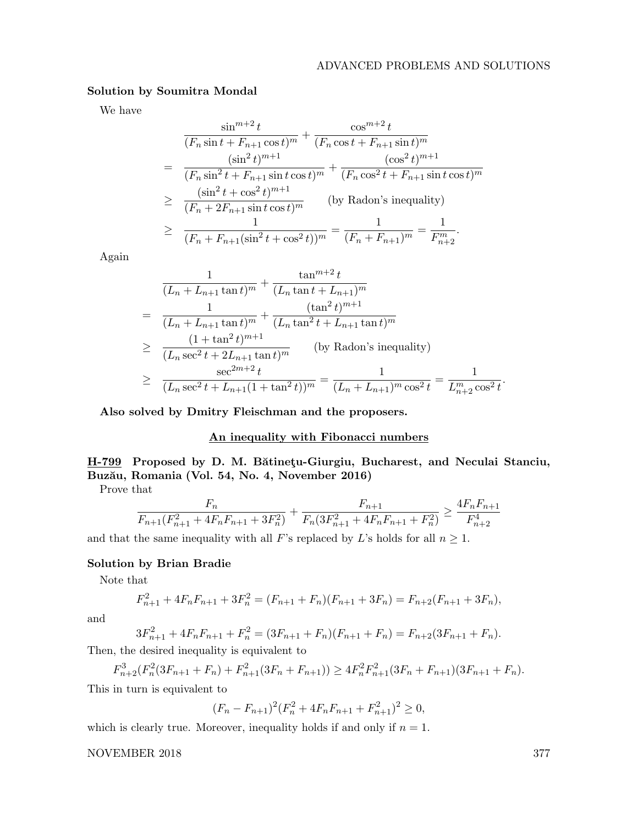# Solution by Soumitra Mondal

We have

$$
\frac{\sin^{m+2}t}{(F_n \sin t + F_{n+1} \cos t)^m} + \frac{\cos^{m+2}t}{(F_n \cos t + F_{n+1} \sin t)^m}
$$
\n
$$
= \frac{(\sin^2 t)^{m+1}}{(F_n \sin^2 t + F_{n+1} \sin t \cos t)^m} + \frac{(\cos^2 t)^{m+1}}{(F_n \cos^2 t + F_{n+1} \sin t \cos t)^m}
$$
\n
$$
\geq \frac{(\sin^2 t + \cos^2 t)^{m+1}}{(F_n + 2F_{n+1} \sin t \cos t)^m} \qquad \text{(by Radon's inequality)}
$$
\n
$$
\geq \frac{1}{(F_n + F_{n+1}(\sin^2 t + \cos^2 t))^m} = \frac{1}{(F_n + F_{n+1})^m} = \frac{1}{F_{n+2}^m}.
$$

Again

$$
\frac{1}{(L_n + L_{n+1} \tan t)^m} + \frac{\tan^{m+2} t}{(L_n \tan t + L_{n+1})^m}
$$
\n
$$
= \frac{1}{(L_n + L_{n+1} \tan t)^m} + \frac{(\tan^2 t)^{m+1}}{(L_n \tan^2 t + L_{n+1} \tan t)^m}
$$
\n
$$
\geq \frac{(1 + \tan^2 t)^{m+1}}{(L_n \sec^2 t + 2L_{n+1} \tan t)^m} \qquad \text{(by Radon's inequality)}
$$
\n
$$
\geq \frac{\sec^{2m+2} t}{(L_n \sec^2 t + L_{n+1}(1 + \tan^2 t))^m} = \frac{1}{(L_n + L_{n+1})^m \cos^2 t} = \frac{1}{L_{n+2}^m \cos^2 t}.
$$

Also solved by Dmitry Fleischman and the proposers.

# An inequality with Fibonacci numbers

# H-799 Proposed by D. M. Bătinețu-Giurgiu, Bucharest, and Neculai Stanciu, Buzău, Romania (Vol. 54, No. 4, November 2016)

Prove that

$$
\frac{F_n}{F_{n+1}(F_{n+1}^2 + 4F_nF_{n+1} + 3F_n^2)} + \frac{F_{n+1}}{F_n(3F_{n+1}^2 + 4F_nF_{n+1} + F_n^2)} \ge \frac{4F_nF_{n+1}}{F_{n+2}^4}
$$

and that the same inequality with all F's replaced by L's holds for all  $n \geq 1$ .

# Solution by Brian Bradie

Note that

$$
F_{n+1}^2 + 4F_nF_{n+1} + 3F_n^2 = (F_{n+1} + F_n)(F_{n+1} + 3F_n) = F_{n+2}(F_{n+1} + 3F_n),
$$

and

$$
3F_{n+1}^2 + 4F_nF_{n+1} + F_n^2 = (3F_{n+1} + F_n)(F_{n+1} + F_n) = F_{n+2}(3F_{n+1} + F_n).
$$

Then, the desired inequality is equivalent to

$$
F_{n+2}^3(F_n^2(3F_{n+1} + F_n) + F_{n+1}^2(3F_n + F_{n+1})) \ge 4F_n^2F_{n+1}^2(3F_n + F_{n+1})(3F_{n+1} + F_n).
$$

This in turn is equivalent to

$$
(F_n - F_{n+1})^2 (F_n^2 + 4F_n F_{n+1} + F_{n+1}^2)^2 \ge 0,
$$

which is clearly true. Moreover, inequality holds if and only if  $n = 1$ .

NOVEMBER 2018 377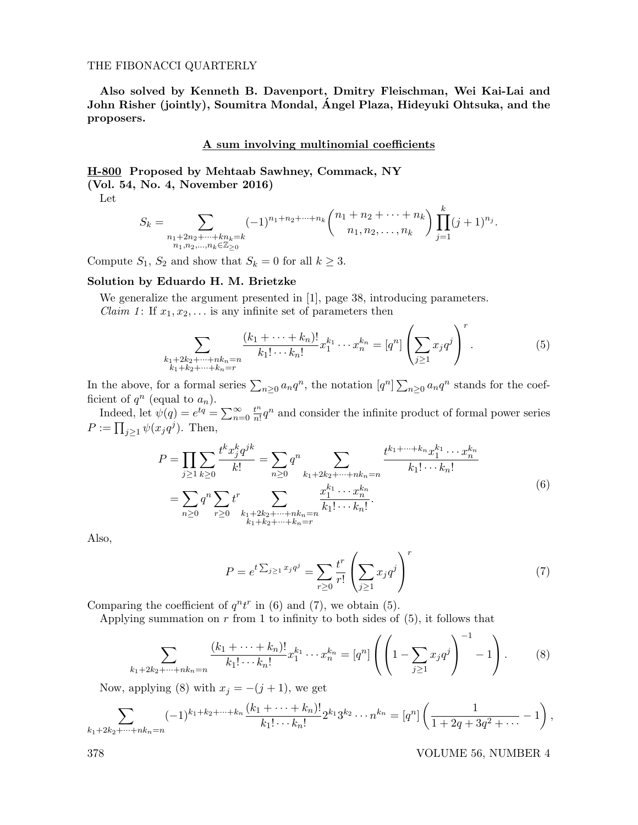#### THE FIBONACCI QUARTERLY

Also solved by Kenneth B. Davenport, Dmitry Fleischman, Wei Kai-Lai and John Risher (jointly), Soumitra Mondal, Angel Plaza, Hideyuki Ohtsuka, and the ´ proposers.

### A sum involving multinomial coefficients

H-800 Proposed by Mehtaab Sawhney, Commack, NY

(Vol. 54, No. 4, November 2016)

Let

$$
S_k = \sum_{\substack{n_1 + 2n_2 + \dots + kn_k = k \\ n_1, n_2, \dots, n_k \in \mathbb{Z}_{\geq 0}}} (-1)^{n_1 + n_2 + \dots + n_k} {n_1 + n_2 + \dots + n_k \choose n_1, n_2, \dots, n_k} \prod_{j=1}^k (j+1)^{n_j}.
$$

Compute  $S_1$ ,  $S_2$  and show that  $S_k = 0$  for all  $k \geq 3$ .

# Solution by Eduardo H. M. Brietzke

We generalize the argument presented in [1], page 38, introducing parameters. *Claim 1*: If  $x_1, x_2, \ldots$  is any infinite set of parameters then

$$
\sum_{\substack{k_1+2k_2+\cdots+nk_n=n\\k_1+k_2+\cdots+k_n=r}} \frac{(k_1+\cdots+k_n)!}{k_1!\cdots k_n!} x_1^{k_1}\cdots x_n^{k_n} = [q^n] \left(\sum_{j\geq 1} x_j q^j\right)^r.
$$
 (5)

 $\lambda$ 

In the above, for a formal series  $\sum_{n\geq 0} a_n q^n$ , the notation  $[q^n] \sum_{n\geq 0} a_n q^n$  stands for the coefficient of  $q^n$  (equal to  $a_n$ ).

Indeed, let  $\psi(q) = e^{tq} = \sum_{n=0}^{\infty} \frac{t^n}{n!}$  $\frac{t^n}{n!}q^n$  and consider the infinite product of formal power series  $P := \prod_{j\geq 1} \psi(x_j q^j)$ . Then,

$$
P = \prod_{j\geq 1} \sum_{k\geq 0} \frac{t^k x_j^k q^{jk}}{k!} = \sum_{n\geq 0} q^n \sum_{k_1+2k_2+\cdots+nk_n=n} \frac{t^{k_1+\cdots+k_n} x_1^{k_1}\cdots x_n^{k_n}}{k_1! \cdots k_n!}
$$
  
= 
$$
\sum_{n\geq 0} q^n \sum_{r\geq 0} t^r \sum_{\substack{k_1+2k_2+\cdots+nk_n=n\\k_1+k_2+\cdots+k_n=r}} \frac{x_1^{k_1}\cdots x_n^{k_n}}{k_1! \cdots k_n!}.
$$
 (6)

Also,

$$
P = e^{t\sum_{j\geq 1} x_j q^j} = \sum_{r\geq 0} \frac{t^r}{r!} \left(\sum_{j\geq 1} x_j q^j\right)^r
$$
 (7)

Comparing the coefficient of  $q^n t^r$  in (6) and (7), we obtain (5).

Applying summation on  $r$  from 1 to infinity to both sides of  $(5)$ , it follows that

$$
\sum_{k_1+2k_2+\dots+nk_n=n} \frac{(k_1+\dots+k_n)!}{k_1!\cdots k_n!} x_1^{k_1}\cdots x_n^{k_n} = [q^n] \left( \left( 1 - \sum_{j\geq 1} x_j q^j \right)^{-1} - 1 \right). \tag{8}
$$

Now, applying (8) with  $x_j = -(j + 1)$ , we get

$$
\sum_{k_1+2k_2+\cdots+nk_n=n}(-1)^{k_1+k_2+\cdots+k_n}\frac{(k_1+\cdots+k_n)!}{k_1!\cdots k_n!}2^{k_1}3^{k_2}\cdots n^{k_n}=[q^n]\left(\frac{1}{1+2q+3q^2+\cdots}-1\right),
$$

378 VOLUME 56, NUMBER 4